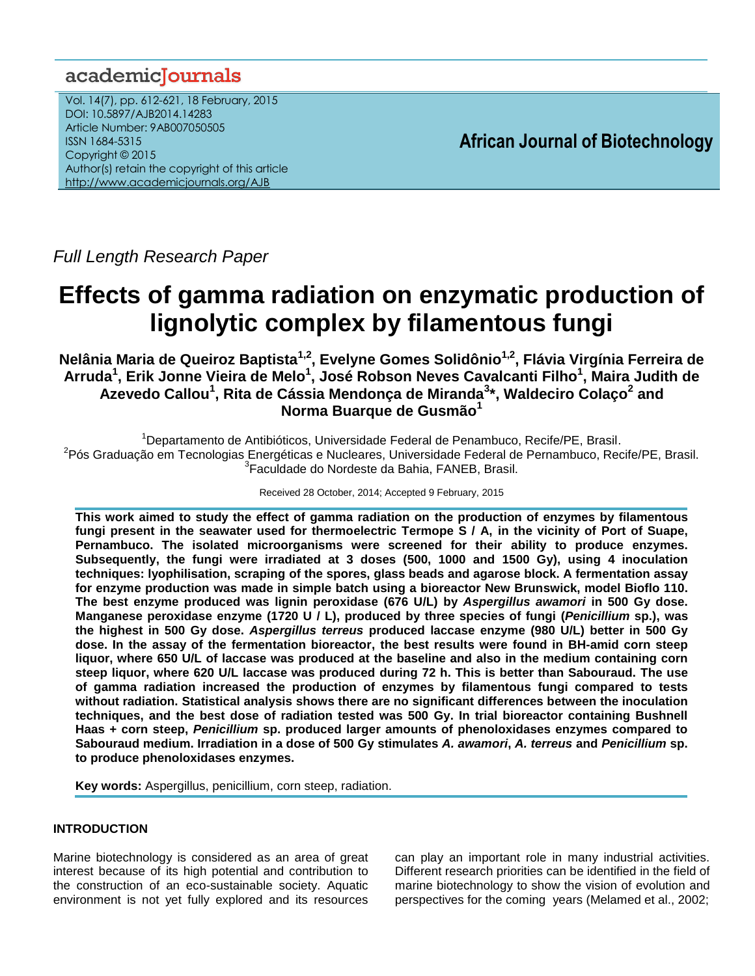# academiclournals

Vol. 14(7), pp. 612-621, 18 February, 2015 DOI: 10.5897/AJB2014.14283 Article Number: 9AB007050505 ISSN 1684-5315 Copyright © 2015 Author(s) retain the copyright of this article <http://www.academicjournals.org/AJB>

**African Journal of Biotechnology**

*Full Length Research Paper*

# **Effects of gamma radiation on enzymatic production of lignolytic complex by filamentous fungi**

**Nelânia Maria de Queiroz Baptista1,2 , Evelyne Gomes Solidônio1,2 , Flávia Virgínia Ferreira de Arruda<sup>1</sup> , Erik Jonne Vieira de Melo<sup>1</sup> , José Robson Neves Cavalcanti Filho<sup>1</sup> , Maira Judith de Azevedo Callou<sup>1</sup> , Rita de Cássia Mendonça de Miranda<sup>3</sup> \*, Waldeciro Colaço<sup>2</sup> and Norma Buarque de Gusmão<sup>1</sup>**

<sup>1</sup>Departamento de Antibióticos, Universidade Federal de Penambuco, Recife/PE, Brasil. <sup>2</sup>Pós Graduação em Tecnologias Energéticas e Nucleares, Universidade Federal de Pernambuco, Recife/PE, Brasil. 3 Faculdade do Nordeste da Bahia, FANEB, Brasil.

Received 28 October, 2014; Accepted 9 February, 2015

**This work aimed to study the effect of gamma radiation on the production of enzymes by filamentous fungi present in the seawater used for thermoelectric Termope S / A, in the vicinity of Port of Suape, Pernambuco. The isolated microorganisms were screened for their ability to produce enzymes. Subsequently, the fungi were irradiated at 3 doses (500, 1000 and 1500 Gy), using 4 inoculation techniques: lyophilisation, scraping of the spores, glass beads and agarose block. A fermentation assay for enzyme production was made in simple batch using a bioreactor New Brunswick, model Bioflo 110. The best enzyme produced was lignin peroxidase (676 U/L) by** *Aspergillus awamori* **in 500 Gy dose. Manganese peroxidase enzyme (1720 U / L), produced by three species of fungi (***Penicillium* **sp.), was the highest in 500 Gy dose.** *Aspergillus terreus* **produced laccase enzyme (980 U/L) better in 500 Gy dose. In the assay of the fermentation bioreactor, the best results were found in BH-amid corn steep liquor, where 650 U/L of laccase was produced at the baseline and also in the medium containing corn steep liquor, where 620 U/L laccase was produced during 72 h. This is better than Sabouraud. The use of gamma radiation increased the production of enzymes by filamentous fungi compared to tests without radiation. Statistical analysis shows there are no significant differences between the inoculation techniques, and the best dose of radiation tested was 500 Gy. In trial bioreactor containing Bushnell Haas + corn steep,** *Penicillium* **sp. produced larger amounts of phenoloxidases enzymes compared to Sabouraud medium. Irradiation in a dose of 500 Gy stimulates** *A. awamori***,** *A. terreus* **and** *Penicillium* **sp. to produce phenoloxidases enzymes.**

**Key words:** Aspergillus, penicillium, corn steep, radiation.

# **INTRODUCTION**

Marine biotechnology is considered as an area of great interest because of its high potential and contribution to the construction of an eco-sustainable society. Aquatic environment is not yet fully explored and its resources

can play an important role in many industrial activities. Different research priorities can be identified in the field of marine biotechnology to show the vision of evolution and perspectives for the coming years (Melamed et al., 2002;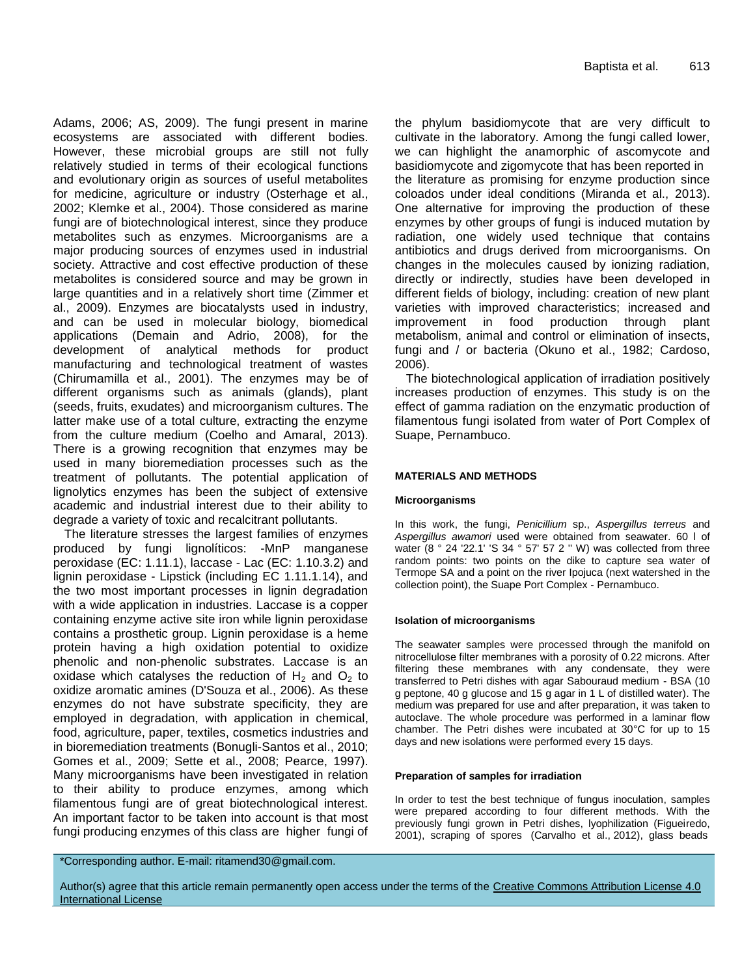Adams, 2006; AS, 2009). The fungi present in marine ecosystems are associated with different bodies. However, these microbial groups are still not fully relatively studied in terms of their ecological functions and evolutionary origin as sources of useful metabolites for medicine, agriculture or industry (Osterhage et al., 2002; Klemke et al., 2004). Those considered as marine fungi are of biotechnological interest, since they produce metabolites such as enzymes. Microorganisms are a major producing sources of enzymes used in industrial society. Attractive and cost effective production of these metabolites is considered source and may be grown in large quantities and in a relatively short time (Zimmer et al., 2009). Enzymes are biocatalysts used in industry, and can be used in molecular biology, biomedical applications (Demain and Adrio, 2008), for the development of analytical methods for product manufacturing and technological treatment of wastes (Chirumamilla et al., 2001). The enzymes may be of different organisms such as animals (glands), plant (seeds, fruits, exudates) and microorganism cultures. The latter make use of a total culture, extracting the enzyme from the culture medium (Coelho and Amaral, 2013). There is a growing recognition that enzymes may be used in many bioremediation processes such as the treatment of pollutants. The potential application of lignolytics enzymes has been the subject of extensive academic and industrial interest due to their ability to degrade a variety of toxic and recalcitrant pollutants.

The literature stresses the largest families of enzymes produced by fungi lignolíticos: -MnP manganese peroxidase (EC: 1.11.1), laccase - Lac (EC: 1.10.3.2) and lignin peroxidase - Lipstick (including EC 1.11.1.14), and the two most important processes in lignin degradation with a wide application in industries. Laccase is a copper containing enzyme active site iron while lignin peroxidase contains a prosthetic group. Lignin peroxidase is a heme protein having a high oxidation potential to oxidize phenolic and non-phenolic substrates. Laccase is an oxidase which catalyses the reduction of  $H_2$  and  $O_2$  to oxidize aromatic amines (D'Souza et al., 2006). As these enzymes do not have substrate specificity, they are employed in degradation, with application in chemical, food, agriculture, paper, textiles, cosmetics industries and in bioremediation treatments (Bonugli-Santos et al., 2010; Gomes et al., 2009; Sette et al., 2008; Pearce, 1997). Many microorganisms have been investigated in relation to their ability to produce enzymes, among which filamentous fungi are of great biotechnological interest. An important factor to be taken into account is that most fungi producing enzymes of this class are higher fungi of the phylum basidiomycote that are very difficult to cultivate in the laboratory. Among the fungi called lower, we can highlight the anamorphic of ascomycote and basidiomycote and zigomycote that has been reported in the literature as promising for enzyme production since coloados under ideal conditions (Miranda et al., 2013). One alternative for improving the production of these enzymes by other groups of fungi is induced mutation by radiation, one widely used technique that contains antibiotics and drugs derived from microorganisms. On changes in the molecules caused by ionizing radiation, directly or indirectly, studies have been developed in different fields of biology, including: creation of new plant varieties with improved characteristics; increased and improvement in food production through plant metabolism, animal and control or elimination of insects, fungi and / or bacteria (Okuno et al., 1982; Cardoso, 2006).

The biotechnological application of irradiation positively increases production of enzymes. This study is on the effect of gamma radiation on the enzymatic production of filamentous fungi isolated from water of Port Complex of Suape, Pernambuco.

#### **MATERIALS AND METHODS**

#### **Microorganisms**

In this work, the fungi, *Penicillium* sp., *Aspergillus terreus* and *Aspergillus awamori* used were obtained from seawater. 60 l of water (8 ° 24 '22.1' 'S 34 ° 57' 57 2 " W) was collected from three random points: two points on the dike to capture sea water of Termope SA and a point on the river Ipojuca (next watershed in the collection point), the Suape Port Complex - Pernambuco.

#### **Isolation of microorganisms**

The seawater samples were processed through the manifold on nitrocellulose filter membranes with a porosity of 0.22 microns. After filtering these membranes with any condensate, they were transferred to Petri dishes with agar Sabouraud medium - BSA (10 g peptone, 40 g glucose and 15 g agar in 1 L of distilled water). The medium was prepared for use and after preparation, it was taken to autoclave. The whole procedure was performed in a laminar flow chamber. The Petri dishes were incubated at 30°C for up to 15 days and new isolations were performed every 15 days.

#### **Preparation of samples for irradiation**

In order to test the best technique of fungus inoculation, samples were prepared according to four different methods. With the previously fungi grown in Petri dishes, lyophilization (Figueiredo, 2001), scraping of spores (Carvalho et al., 2012), glass beads

\*Corresponding author. E-mail: ritamend30@gmail.com.

Author(s) agree that this article remain permanently open access under the terms of the Creative Commons Attribution License 4.0 [International License](http://creativecommons.org/licenses/by/4.0/deed.en_US)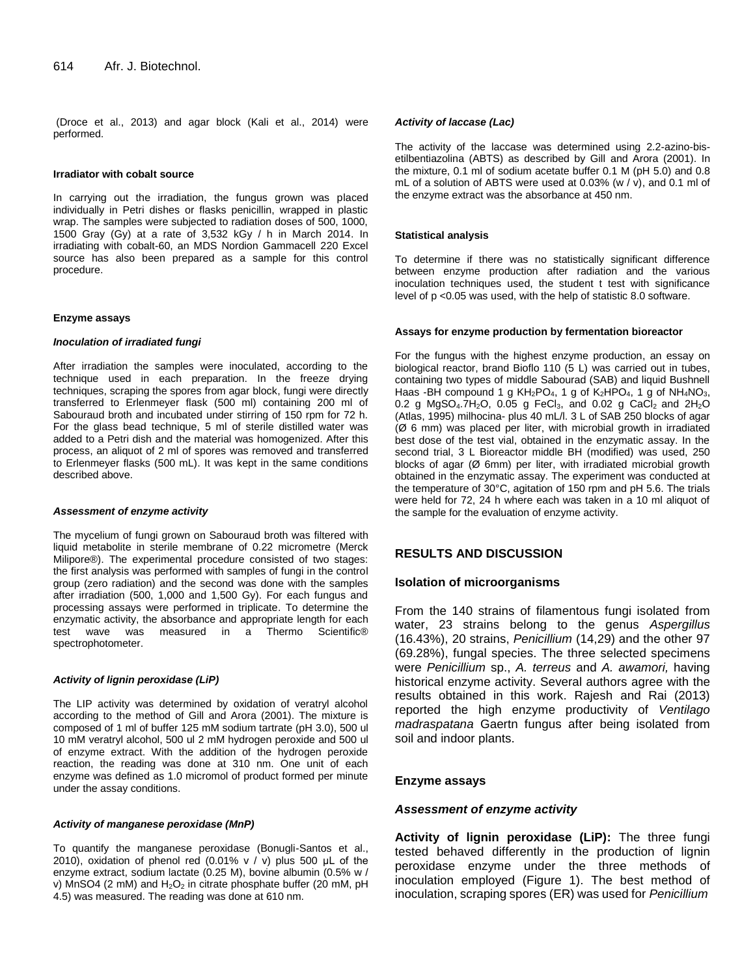(Droce et al., 2013) and agar block (Kali et al., 2014) were performed.

#### **Irradiator with cobalt source**

In carrying out the irradiation, the fungus grown was placed individually in Petri dishes or flasks penicillin, wrapped in plastic wrap. The samples were subjected to radiation doses of 500, 1000, 1500 Gray (Gy) at a rate of 3,532 kGy / h in March 2014. In irradiating with cobalt-60, an MDS Nordion Gammacell 220 Excel source has also been prepared as a sample for this control procedure.

#### **Enzyme assays**

#### *Inoculation of irradiated fungi*

After irradiation the samples were inoculated, according to the technique used in each preparation. In the freeze drying techniques, scraping the spores from agar block, fungi were directly transferred to Erlenmeyer flask (500 ml) containing 200 ml of Sabouraud broth and incubated under stirring of 150 rpm for 72 h. For the glass bead technique, 5 ml of sterile distilled water was added to a Petri dish and the material was homogenized. After this process, an aliquot of 2 ml of spores was removed and transferred to Erlenmeyer flasks (500 mL). It was kept in the same conditions described above.

#### *Assessment of enzyme activity*

The mycelium of fungi grown on Sabouraud broth was filtered with liquid metabolite in sterile membrane of 0.22 micrometre (Merck Milipore®). The experimental procedure consisted of two stages: the first analysis was performed with samples of fungi in the control group (zero radiation) and the second was done with the samples after irradiation (500, 1,000 and 1,500 Gy). For each fungus and processing assays were performed in triplicate. To determine the enzymatic activity, the absorbance and appropriate length for each test wave was measured in a Thermo Scientific® spectrophotometer.

#### *Activity of lignin peroxidase (LiP)*

The LIP activity was determined by oxidation of veratryl alcohol according to the method of Gill and Arora (2001). The mixture is composed of 1 ml of buffer 125 mM sodium tartrate (pH 3.0), 500 ul 10 mM veratryl alcohol, 500 ul 2 mM hydrogen peroxide and 500 ul of enzyme extract. With the addition of the hydrogen peroxide reaction, the reading was done at 310 nm. One unit of each enzyme was defined as 1.0 micromol of product formed per minute under the assay conditions.

#### *Activity of manganese peroxidase (MnP)*

To quantify the manganese peroxidase (Bonugli-Santos et al., 2010), oxidation of phenol red (0.01% v / v) plus 500 μL of the enzyme extract, sodium lactate (0.25 M), bovine albumin (0.5% w / v) MnSO4 (2 mM) and  $H_2O_2$  in citrate phosphate buffer (20 mM, pH 4.5) was measured. The reading was done at 610 nm.

#### *Activity of laccase (Lac)*

The activity of the laccase was determined using 2.2-azino-bisetilbentiazolina (ABTS) as described by Gill and Arora (2001). In the mixture, 0.1 ml of sodium acetate buffer 0.1 M (pH 5.0) and 0.8 mL of a solution of ABTS were used at 0.03% (w /  $\dot{v}$ ), and 0.1 ml of the enzyme extract was the absorbance at 450 nm.

#### **Statistical analysis**

To determine if there was no statistically significant difference between enzyme production after radiation and the various inoculation techniques used, the student t test with significance level of p <0.05 was used, with the help of statistic 8.0 software.

#### **Assays for enzyme production by fermentation bioreactor**

For the fungus with the highest enzyme production, an essay on biological reactor, brand Bioflo 110 (5 L) was carried out in tubes, containing two types of middle Sabourad (SAB) and liquid Bushnell Haas -BH compound 1 g  $KH_2PO_4$ , 1 g of  $K_2HPO_4$ , 1 g of  $NH_4NO_3$ , 0.2 g MgSO<sub>4</sub>.7H<sub>2</sub>O, 0.05 g FeCl<sub>3</sub>, and 0.02 g CaCl<sub>2</sub> and 2H<sub>2</sub>O (Atlas, 1995) milhocina- plus 40 mL/l. 3 L of SAB 250 blocks of agar (Ø 6 mm) was placed per liter, with microbial growth in irradiated best dose of the test vial, obtained in the enzymatic assay. In the second trial, 3 L Bioreactor middle BH (modified) was used, 250 blocks of agar (Ø 6mm) per liter, with irradiated microbial growth obtained in the enzymatic assay. The experiment was conducted at the temperature of 30°C, agitation of 150 rpm and pH 5.6. The trials were held for 72, 24 h where each was taken in a 10 ml aliquot of the sample for the evaluation of enzyme activity.

# **RESULTS AND DISCUSSION**

# **Isolation of microorganisms**

From the 140 strains of filamentous fungi isolated from water, 23 strains belong to the genus *Aspergillus* (16.43%), 20 strains, *Penicillium* (14,29) and the other 97 (69.28%), fungal species. The three selected specimens were *Penicillium* sp., *A. terreus* and *A. awamori,* having historical enzyme activity. Several authors agree with the results obtained in this work. Rajesh and Rai (2013) reported the high enzyme productivity of *Ventilago madraspatana* Gaertn fungus after being isolated from soil and indoor plants.

# **Enzyme assays**

#### *Assessment of enzyme activity*

**Activity of lignin peroxidase (LiP):** The three fungi tested behaved differently in the production of lignin peroxidase enzyme under the three methods of inoculation employed (Figure 1). The best method of inoculation, scraping spores (ER) was used for *Penicillium*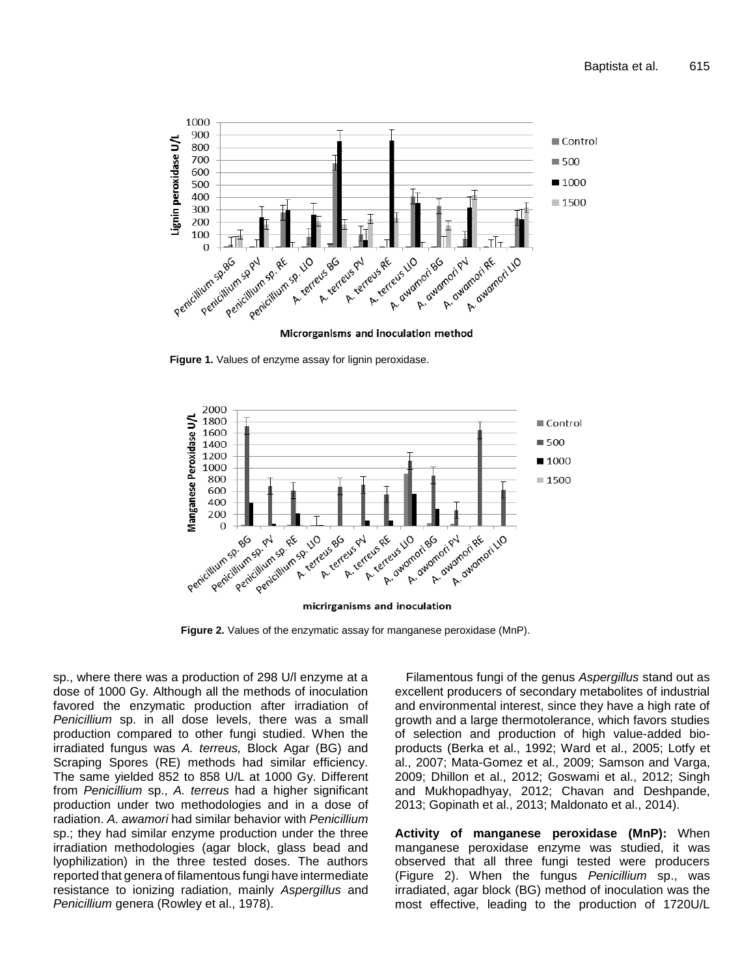

**Figure 1.** Values of enzyme assay for lignin peroxidase.



**Figure 2.** Values of the enzymatic assay for manganese peroxidase (MnP).

sp., where there was a production of 298 U/l enzyme at a dose of 1000 Gy. Although all the methods of inoculation favored the enzymatic production after irradiation of *Penicillium* sp. in all dose levels, there was a small production compared to other fungi studied. When the irradiated fungus was *A. terreus,* Block Agar (BG) and Scraping Spores (RE) methods had similar efficiency. The same yielded 852 to 858 U/L at 1000 Gy. Different from *Penicillium* sp., *A. terreus* had a higher significant production under two methodologies and in a dose of radiation. *A. awamori* had similar behavior with *Penicillium* sp.; they had similar enzyme production under the three irradiation methodologies (agar block, glass bead and lyophilization) in the three tested doses. The authors reported that genera of filamentous fungi have intermediate resistance to ionizing radiation, mainly *Aspergillus* and *Penicillium* genera (Rowley et al., 1978).

Filamentous fungi of the genus *Aspergillus* stand out as excellent producers of secondary metabolites of industrial and environmental interest, since they have a high rate of growth and a large thermotolerance, which favors studies of selection and production of high value-added bioproducts (Berka et al., 1992; Ward et al., 2005; Lotfy et al., 2007; Mata-Gomez et al., 2009; Samson and Varga, 2009; Dhillon et al., 2012; Goswami et al., 2012; Singh and Mukhopadhyay, 2012; Chavan and Deshpande, 2013; Gopinath et al., 2013; Maldonato et al., 2014).

**Activity of manganese peroxidase (MnP):** When manganese peroxidase enzyme was studied, it was observed that all three fungi tested were producers (Figure 2). When the fungus *Penicillium* sp., was irradiated, agar block (BG) method of inoculation was the most effective, leading to the production of 1720U/L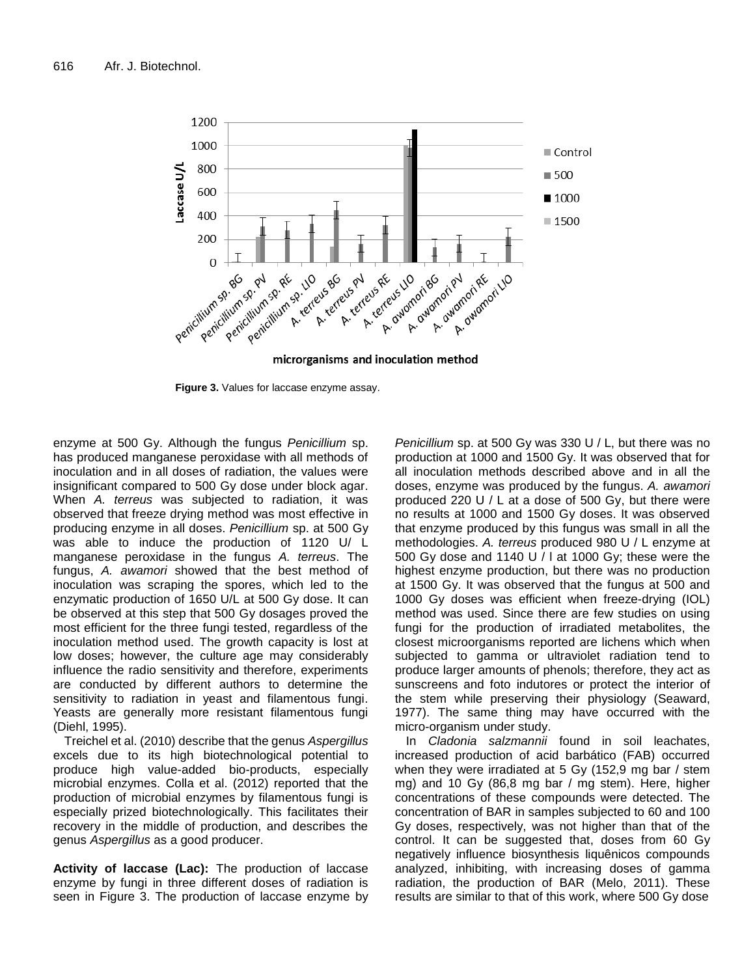

**Figure 3.** Values for laccase enzyme assay.

enzyme at 500 Gy. Although the fungus *Penicillium* sp. has produced manganese peroxidase with all methods of inoculation and in all doses of radiation, the values were insignificant compared to 500 Gy dose under block agar. When *A. terreus* was subjected to radiation, it was observed that freeze drying method was most effective in producing enzyme in all doses. *Penicillium* sp. at 500 Gy was able to induce the production of 1120 U/ L manganese peroxidase in the fungus *A. terreus*. The fungus, *A. awamori* showed that the best method of inoculation was scraping the spores, which led to the enzymatic production of 1650 U/L at 500 Gy dose. It can be observed at this step that 500 Gy dosages proved the most efficient for the three fungi tested, regardless of the inoculation method used. The growth capacity is lost at low doses; however, the culture age may considerably influence the radio sensitivity and therefore, experiments are conducted by different authors to determine the sensitivity to radiation in yeast and filamentous fungi. Yeasts are generally more resistant filamentous fungi (Diehl, 1995).

Treichel et al. (2010) describe that the genus *Aspergillus* excels due to its high biotechnological potential to produce high value-added bio-products, especially microbial enzymes. Colla et al. (2012) reported that the production of microbial enzymes by filamentous fungi is especially prized biotechnologically. This facilitates their recovery in the middle of production, and describes the genus *Aspergillus* as a good producer.

**Activity of laccase (Lac):** The production of laccase enzyme by fungi in three different doses of radiation is seen in Figure 3. The production of laccase enzyme by

*Penicillium* sp. at 500 Gy was 330 U / L, but there was no production at 1000 and 1500 Gy. It was observed that for all inoculation methods described above and in all the doses, enzyme was produced by the fungus. *A. awamori* produced 220 U / L at a dose of 500 Gy, but there were no results at 1000 and 1500 Gy doses. It was observed that enzyme produced by this fungus was small in all the methodologies. *A. terreus* produced 980 U / L enzyme at 500 Gy dose and 1140 U / l at 1000 Gy; these were the highest enzyme production, but there was no production at 1500 Gy. It was observed that the fungus at 500 and 1000 Gy doses was efficient when freeze-drying (IOL) method was used. Since there are few studies on using fungi for the production of irradiated metabolites, the closest microorganisms reported are lichens which when subjected to gamma or ultraviolet radiation tend to produce larger amounts of phenols; therefore, they act as sunscreens and foto indutores or protect the interior of the stem while preserving their physiology (Seaward, 1977). The same thing may have occurred with the micro-organism under study.

In *Cladonia salzmannii* found in soil leachates, increased production of acid barbático (FAB) occurred when they were irradiated at 5 Gy (152,9 mg bar / stem mg) and 10 Gy (86,8 mg bar / mg stem). Here, higher concentrations of these compounds were detected. The concentration of BAR in samples subjected to 60 and 100 Gy doses, respectively, was not higher than that of the control. It can be suggested that, doses from 60 Gy negatively influence biosynthesis liquênicos compounds analyzed, inhibiting, with increasing doses of gamma radiation, the production of BAR (Melo, 2011). These results are similar to that of this work, where 500 Gy dose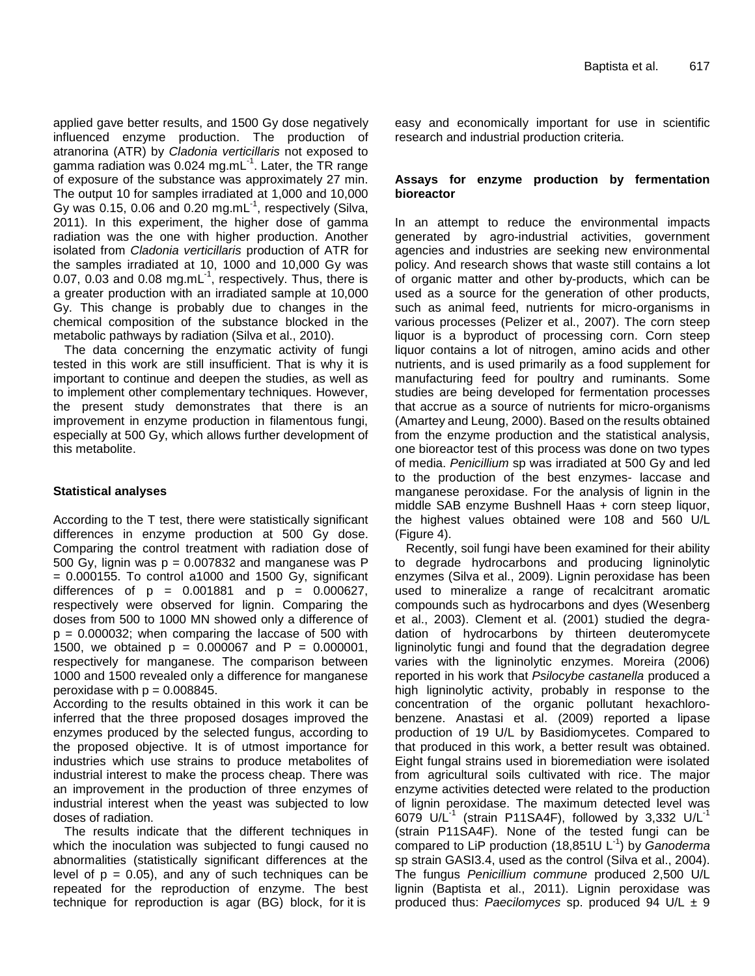applied gave better results, and 1500 Gy dose negatively influenced enzyme production. The production of atranorina (ATR) by *Cladonia verticillaris* not exposed to gamma radiation was 0.024 mg.mL<sup>-1</sup>. Later, the TR range of exposure of the substance was approximately 27 min. The output 10 for samples irradiated at 1,000 and 10,000 Gy was 0.15, 0.06 and 0.20 mg.mL $^1$ , respectively (Silva, 2011). In this experiment, the higher dose of gamma radiation was the one with higher production. Another isolated from *Cladonia verticillaris* production of ATR for the samples irradiated at 10, 1000 and 10,000 Gy was 0.07, 0.03 and 0.08 mg.mL $<sup>1</sup>$ , respectively. Thus, there is</sup> a greater production with an irradiated sample at 10,000 Gy. This change is probably due to changes in the chemical composition of the substance blocked in the metabolic pathways by radiation (Silva et al., 2010).

The data concerning the enzymatic activity of fungi tested in this work are still insufficient. That is why it is important to continue and deepen the studies, as well as to implement other complementary techniques. However, the present study demonstrates that there is an improvement in enzyme production in filamentous fungi, especially at 500 Gy, which allows further development of this metabolite.

# **Statistical analyses**

According to the T test, there were statistically significant differences in enzyme production at 500 Gy dose. Comparing the control treatment with radiation dose of 500 Gy, lignin was  $p = 0.007832$  and manganese was P  $= 0.000155$ . To control a1000 and 1500 Gy, significant differences of  $p = 0.001881$  and  $p = 0.000627$ , respectively were observed for lignin. Comparing the doses from 500 to 1000 MN showed only a difference of  $p = 0.000032$ ; when comparing the laccase of 500 with 1500, we obtained  $p = 0.000067$  and  $P = 0.000001$ , respectively for manganese. The comparison between 1000 and 1500 revealed only a difference for manganese peroxidase with  $p = 0.008845$ .

According to the results obtained in this work it can be inferred that the three proposed dosages improved the enzymes produced by the selected fungus, according to the proposed objective. It is of utmost importance for industries which use strains to produce metabolites of industrial interest to make the process cheap. There was an improvement in the production of three enzymes of industrial interest when the yeast was subjected to low doses of radiation.

The results indicate that the different techniques in which the inoculation was subjected to fungi caused no abnormalities (statistically significant differences at the level of  $p = 0.05$ , and any of such techniques can be repeated for the reproduction of enzyme. The best technique for reproduction is agar (BG) block, for it is

easy and economically important for use in scientific research and industrial production criteria.

# **Assays for enzyme production by fermentation bioreactor**

In an attempt to reduce the environmental impacts generated by agro-industrial activities, government agencies and industries are seeking new environmental policy. And research shows that waste still contains a lot of organic matter and other by-products, which can be used as a source for the generation of other products, such as animal feed, nutrients for micro-organisms in various processes (Pelizer et al., 2007). The corn steep liquor is a byproduct of processing corn. Corn steep liquor contains a lot of nitrogen, amino acids and other nutrients, and is used primarily as a food supplement for manufacturing feed for poultry and ruminants. Some studies are being developed for fermentation processes that accrue as a source of nutrients for micro-organisms (Amartey and Leung, 2000). Based on the results obtained from the enzyme production and the statistical analysis, one bioreactor test of this process was done on two types of media. *Penicillium* sp was irradiated at 500 Gy and led to the production of the best enzymes- laccase and manganese peroxidase. For the analysis of lignin in the middle SAB enzyme Bushnell Haas + corn steep liquor, the highest values obtained were 108 and 560 U/L (Figure 4).

Recently, soil fungi have been examined for their ability to degrade hydrocarbons and producing ligninolytic enzymes (Silva et al., 2009). Lignin peroxidase has been used to mineralize a range of recalcitrant aromatic compounds such as hydrocarbons and dyes (Wesenberg et al., 2003). Clement et al. (2001) studied the degradation of hydrocarbons by thirteen deuteromycete ligninolytic fungi and found that the degradation degree varies with the ligninolytic enzymes. Moreira (2006) reported in his work that *Psilocybe castanella* produced a high ligninolytic activity, probably in response to the concentration of the organic pollutant hexachlorobenzene. Anastasi et al. (2009) reported a lipase production of 19 U/L by Basidiomycetes. Compared to that produced in this work, a better result was obtained. Eight fungal strains used in bioremediation were isolated from agricultural soils cultivated with rice. The major enzyme activities detected were related to the production of lignin peroxidase. The maximum detected level was 6079  $U/L^{-1}$  (strain P11SA4F), followed by 3,332  $U/L^{-1}$ (strain P11SA4F). None of the tested fungi can be compared to LiP production (18,851U L-1 ) by *Ganoderma* sp strain GASI3.4, used as the control (Silva et al., 2004). The fungus *Penicillium commune* produced 2,500 U/L lignin (Baptista et al., 2011). Lignin peroxidase was produced thus: *Paecilomyces* sp. produced 94 U/L ± 9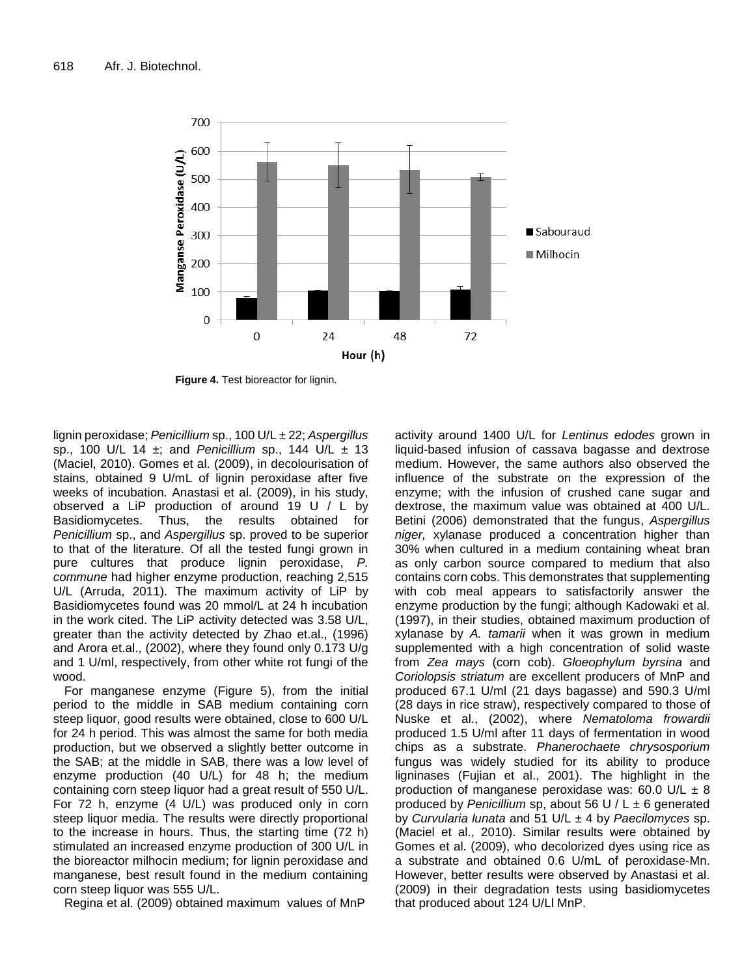

**Figure 4.** Test bioreactor for lignin.

lignin peroxidase; *Penicillium* sp., 100 U/L ± 22; *Aspergillus* sp., 100 U/L 14 ±; and *Penicillium* sp., 144 U/L ± 13 (Maciel, 2010). Gomes et al. (2009), in decolourisation of stains, obtained 9 U/mL of lignin peroxidase after five weeks of incubation. Anastasi et al. (2009), in his study, observed a LiP production of around 19 U / L by Basidiomycetes. Thus, the results obtained for *Penicillium* sp., and *Aspergillus* sp. proved to be superior to that of the literature. Of all the tested fungi grown in pure cultures that produce lignin peroxidase, *P. commune* had higher enzyme production, reaching 2,515 U/L (Arruda, 2011). The maximum activity of LiP by Basidiomycetes found was 20 mmol/L at 24 h incubation in the work cited. The LiP activity detected was 3.58 U/L, greater than the activity detected by Zhao et.al., (1996) and Arora et.al., (2002), where they found only 0.173 U/g and 1 U/ml, respectively, from other white rot fungi of the wood.

For manganese enzyme (Figure 5), from the initial period to the middle in SAB medium containing corn steep liquor, good results were obtained, close to 600 U/L for 24 h period. This was almost the same for both media production, but we observed a slightly better outcome in the SAB; at the middle in SAB, there was a low level of enzyme production (40 U/L) for 48 h; the medium containing corn steep liquor had a great result of 550 U/L. For 72 h, enzyme (4 U/L) was produced only in corn steep liquor media. The results were directly proportional to the increase in hours. Thus, the starting time (72 h) stimulated an increased enzyme production of 300 U/L in the bioreactor milhocin medium; for lignin peroxidase and manganese, best result found in the medium containing corn steep liquor was 555 U/L.

Regina et al. (2009) obtained maximum values of MnP

activity around 1400 U/L for *Lentinus edodes* grown in liquid-based infusion of cassava bagasse and dextrose medium. However, the same authors also observed the influence of the substrate on the expression of the enzyme; with the infusion of crushed cane sugar and dextrose, the maximum value was obtained at 400 U/L. Betini (2006) demonstrated that the fungus, *Aspergillus niger,* xylanase produced a concentration higher than 30% when cultured in a medium containing wheat bran as only carbon source compared to medium that also contains corn cobs. This demonstrates that supplementing with cob meal appears to satisfactorily answer the enzyme production by the fungi; although Kadowaki et al. (1997), in their studies, obtained maximum production of xylanase by *A. tamarii* when it was grown in medium supplemented with a high concentration of solid waste from *Zea mays* (corn cob). *Gloeophylum byrsina* and *Coriolopsis striatum* are excellent producers of MnP and produced 67.1 U/ml (21 days bagasse) and 590.3 U/ml (28 days in rice straw), respectively compared to those of Nuske et al., (2002), where *Nematoloma frowardii* produced 1.5 U/ml after 11 days of fermentation in wood chips as a substrate. *Phanerochaete chrysosporium* fungus was widely studied for its ability to produce ligninases (Fujian et al., 2001). The highlight in the production of manganese peroxidase was: 60.0 U/L  $\pm$  8 produced by *Penicillium* sp, about 56 U / L ± 6 generated by *Curvularia lunata* and 51 U/L ± 4 by *Paecilomyces* sp. (Maciel et al., 2010). Similar results were obtained by Gomes et al. (2009), who decolorized dyes using rice as a substrate and obtained 0.6 U/mL of peroxidase-Mn. However, better results were observed by Anastasi et al. (2009) in their degradation tests using basidiomycetes that produced about 124 U/Ll MnP.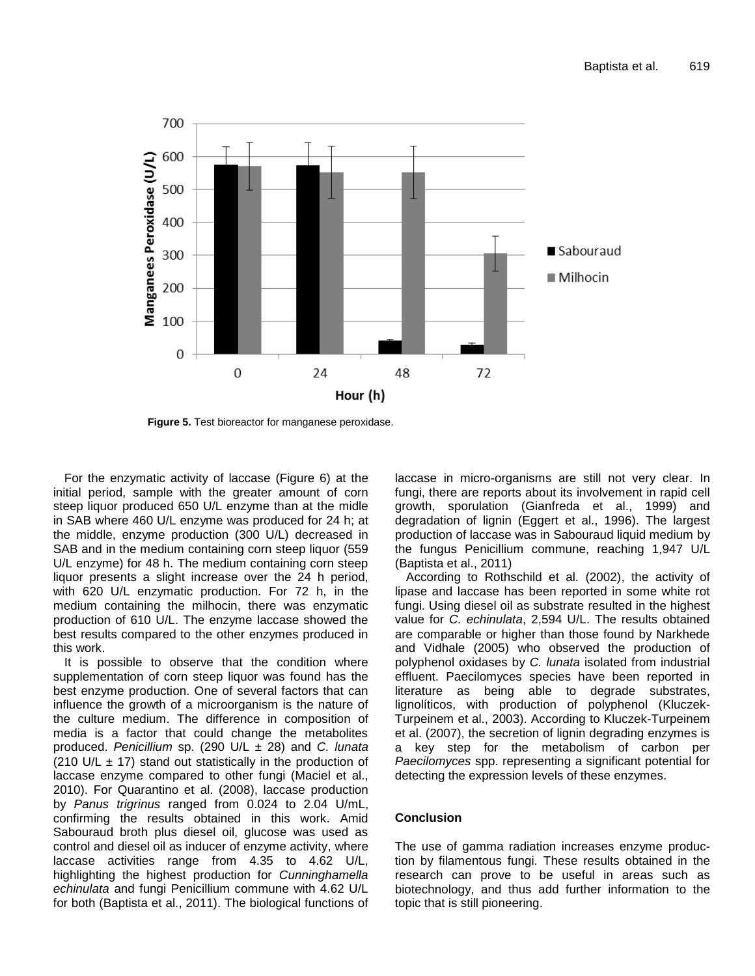

**Figure 5.** Test bioreactor for manganese peroxidase.

For the enzymatic activity of laccase (Figure 6) at the initial period, sample with the greater amount of corn steep liquor produced 650 U/L enzyme than at the midle in SAB where 460 U/L enzyme was produced for 24 h; at the middle, enzyme production (300 U/L) decreased in SAB and in the medium containing corn steep liquor (559 U/L enzyme) for 48 h. The medium containing corn steep liquor presents a slight increase over the 24 h period, with 620 U/L enzymatic production. For 72 h, in the medium containing the milhocin, there was enzymatic production of 610 U/L. The enzyme laccase showed the best results compared to the other enzymes produced in this work.

It is possible to observe that the condition where supplementation of corn steep liquor was found has the best enzyme production. One of several factors that can influence the growth of a microorganism is the nature of the culture medium. The difference in composition of media is a factor that could change the metabolites produced. *Penicillium* sp. (290 U/L ± 28) and *C. lunata* (210 U/L  $\pm$  17) stand out statistically in the production of laccase enzyme compared to other fungi (Maciel et al., 2010). For Quarantino et al. (2008), laccase production by *Panus trigrinus* ranged from 0.024 to 2.04 U/mL, confirming the results obtained in this work. Amid Sabouraud broth plus diesel oil, glucose was used as control and diesel oil as inducer of enzyme activity, where laccase activities range from 4.35 to 4.62 U/L, highlighting the highest production for *Cunninghamella echinulata* and fungi Penicillium commune with 4.62 U/L for both (Baptista et al., 2011). The biological functions of laccase in micro-organisms are still not very clear. In fungi, there are reports about its involvement in rapid cell growth, sporulation (Gianfreda et al., 1999) and degradation of lignin (Eggert et al., 1996). The largest production of laccase was in Sabouraud liquid medium by the fungus Penicillium commune, reaching 1,947 U/L (Baptista et al., 2011)

According to Rothschild et al. (2002), the activity of lipase and laccase has been reported in some white rot fungi. Using diesel oil as substrate resulted in the highest value for *C. echinulata*, 2,594 U/L. The results obtained are comparable or higher than those found by Narkhede and Vidhale (2005) who observed the production of polyphenol oxidases by *C. lunata* isolated from industrial effluent. Paecilomyces species have been reported in literature as being able to degrade substrates, lignolíticos, with production of polyphenol (Kluczek-Turpeinem et al., 2003). According to Kluczek-Turpeinem et al. (2007), the secretion of lignin degrading enzymes is a key step for the metabolism of carbon per *Paecilomyces* spp. representing a significant potential for detecting the expression levels of these enzymes.

# **Conclusion**

The use of gamma radiation increases enzyme production by filamentous fungi. These results obtained in the research can prove to be useful in areas such as biotechnology, and thus add further information to the topic that is still pioneering.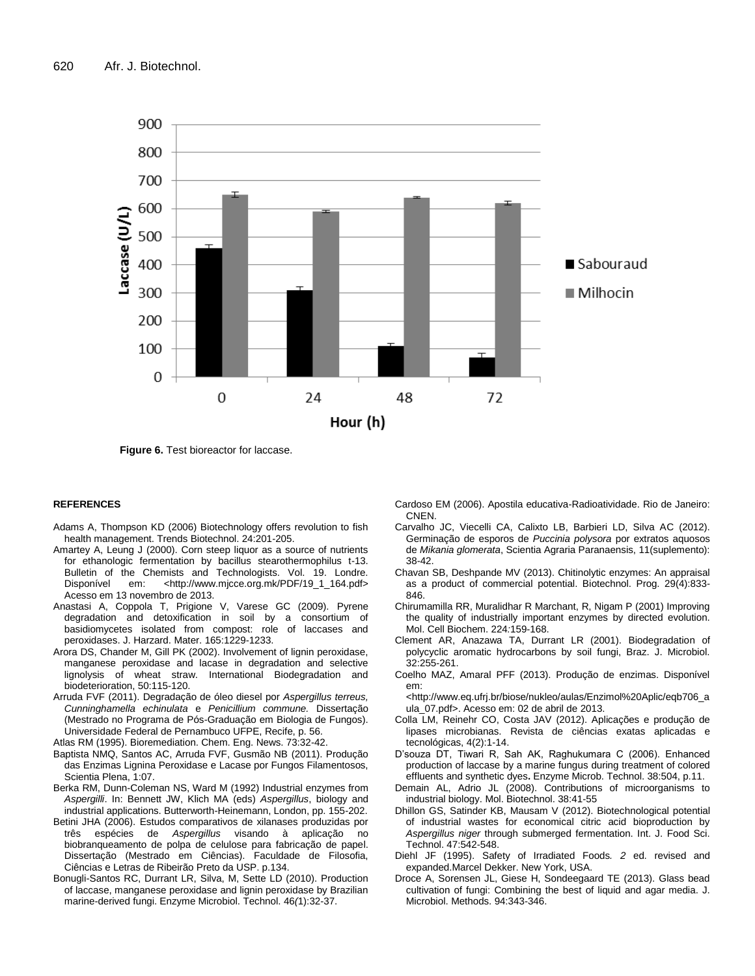

**Figure 6.** Test bioreactor for laccase.

#### **REFERENCES**

- Adams A, Thompson KD (2006) Biotechnology offers revolution to fish health management. Trends Biotechnol. 24:201-205.
- Amartey A, Leung J (2000). Corn steep liquor as a source of nutrients for ethanologic fermentation by bacillus stearothermophilus t-13. Bulletin of the Chemists and Technologists. Vol. 19. Londre. Disponível em: <http://www.mjcce.org.mk/PDF/19\_1\_164.pdf> Acesso em 13 novembro de 2013.
- Anastasi A, Coppola T, Prigione V, Varese GC (2009). Pyrene degradation and detoxification in soil by a consortium of basidiomycetes isolated from compost: role of laccases and peroxidases. J. Harzard. Mater. 165:1229-1233.
- Arora DS, Chander M, Gill PK (2002). Involvement of lignin peroxidase, manganese peroxidase and lacase in degradation and selective lignolysis of wheat straw. International Biodegradation and biodeterioration, 50:115-120.
- Arruda FVF (2011). Degradação de óleo diesel por *Aspergillus terreus, Cunninghamella echinulata* e *Penicillium commune.* Dissertação (Mestrado no Programa de Pós-Graduação em Biologia de Fungos). Universidade Federal de Pernambuco UFPE, Recife, p. 56.

Atlas RM (1995). Bioremediation. Chem. Eng. News. 73:32-42.

- Baptista NMQ, Santos AC, Arruda FVF, Gusmão NB (2011). Produção das Enzimas Lignina Peroxidase e Lacase por Fungos Filamentosos, Scientia Plena, 1:07.
- Berka RM, Dunn-Coleman NS, Ward M (1992) Industrial enzymes from *Aspergilli*. In: Bennett JW, Klich MA (eds) *Aspergillus*, biology and industrial applications. Butterworth-Heinemann, London, pp. 155-202.
- Betini JHA (2006). Estudos comparativos de xilanases produzidas por três espécies de Aspergillus visando à aplicação no três espécies de *Aspergillus* visando à aplicação no biobranqueamento de polpa de celulose para fabricação de papel. Dissertação (Mestrado em Ciências). Faculdade de Filosofia, Ciências e Letras de Ribeirão Preto da USP. p.134.
- Bonugli-Santos RC, Durrant LR, Silva, M, Sette LD (2010). Production of laccase, manganese peroxidase and lignin peroxidase by Brazilian marine-derived fungi. Enzyme Microbiol. Technol. 46*(*1):32-37.

Cardoso EM (2006). Apostila educativa-Radioatividade. Rio de Janeiro: CNEN.

- Carvalho JC, Viecelli CA, Calixto LB, Barbieri LD, Silva AC (2012). Germinação de esporos de *Puccinia polysora* por extratos aquosos de *Mikania glomerata*, Scientia Agraria Paranaensis, 11(suplemento): 38-42.
- Chavan SB, Deshpande MV (2013). Chitinolytic enzymes: An appraisal as a product of commercial potential. Biotechnol. Prog. 29(4):833- 846.
- Chirumamilla RR, Muralidhar R Marchant, R, Nigam P (2001) Improving the quality of industrially important enzymes by directed evolution. Mol. Cell Biochem. 224*:*159-168.
- Clement AR, Anazawa TA, Durrant LR (2001). Biodegradation of polycyclic aromatic hydrocarbons by soil fungi, Braz. J. Microbiol. 32:255-261.
- Coelho MAZ, Amaral PFF (2013). Produção de enzimas. Disponível em:

<http://www.eq.ufrj.br/biose/nukleo/aulas/Enzimol%20Aplic/eqb706\_a ula\_07.pdf>. Acesso em: 02 de abril de 2013.

- Colla LM, Reinehr CO, Costa JAV (2012). Aplicações e produção de lipases microbianas. Revista de ciências exatas aplicadas e tecnológicas, 4(2):1-14.
- D'souza DT, Tiwari R, Sah AK, Raghukumara C (2006). Enhanced production of laccase by a marine fungus during treatment of colored effluents and synthetic dyes**.** Enzyme Microb. Technol. 38:504, p.11.
- Demain AL, Adrio JL (2008). Contributions of microorganisms to industrial biology. Mol. Biotechnol. 38:41-55
- Dhillon GS, Satinder KB, Mausam V (2012). Biotechnological potential of industrial wastes for economical citric acid bioproduction by *Aspergillus niger* through submerged fermentation. Int. J. Food Sci. Technol. 47:542-548.
- Diehl JF (1995). Safety of Irradiated Foods*. 2* ed. revised and expanded.Marcel Dekker. New York, USA.
- Droce A, Sorensen JL, Giese H, Sondeegaard TE (2013). Glass bead cultivation of fungi: Combining the best of liquid and agar media. J. Microbiol. Methods. 94:343-346.